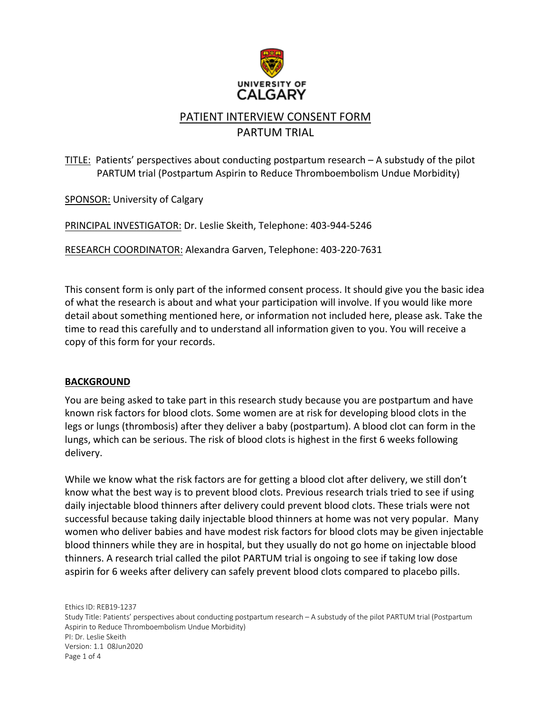

## PATIENT INTERVIEW CONSENT FORM PARTUM TRIAL

### TITLE: Patients' perspectives about conducting postpartum research – A substudy of the pilot PARTUM trial (Postpartum Aspirin to Reduce Thromboembolism Undue Morbidity)

SPONSOR: University of Calgary

PRINCIPAL INVESTIGATOR: Dr. Leslie Skeith, Telephone: 403-944-5246

RESEARCH COORDINATOR: Alexandra Garven, Telephone: 403-220-7631

This consent form is only part of the informed consent process. It should give you the basic idea of what the research is about and what your participation will involve. If you would like more detail about something mentioned here, or information not included here, please ask. Take the time to read this carefully and to understand all information given to you. You will receive a copy of this form for your records.

#### **BACKGROUND**

You are being asked to take part in this research study because you are postpartum and have known risk factors for blood clots. Some women are at risk for developing blood clots in the legs or lungs (thrombosis) after they deliver a baby (postpartum). A blood clot can form in the lungs, which can be serious. The risk of blood clots is highest in the first 6 weeks following delivery.

While we know what the risk factors are for getting a blood clot after delivery, we still don't know what the best way is to prevent blood clots. Previous research trials tried to see if using daily injectable blood thinners after delivery could prevent blood clots. These trials were not successful because taking daily injectable blood thinners at home was not very popular. Many women who deliver babies and have modest risk factors for blood clots may be given injectable blood thinners while they are in hospital, but they usually do not go home on injectable blood thinners. A research trial called the pilot PARTUM trial is ongoing to see if taking low dose aspirin for 6 weeks after delivery can safely prevent blood clots compared to placebo pills.

Ethics ID: REB19-1237 Study Title: Patients' perspectives about conducting postpartum research – A substudy of the pilot PARTUM trial (Postpartum Aspirin to Reduce Thromboembolism Undue Morbidity) PI: Dr. Leslie Skeith Version: 1.1 08Jun2020 Page 1 of 4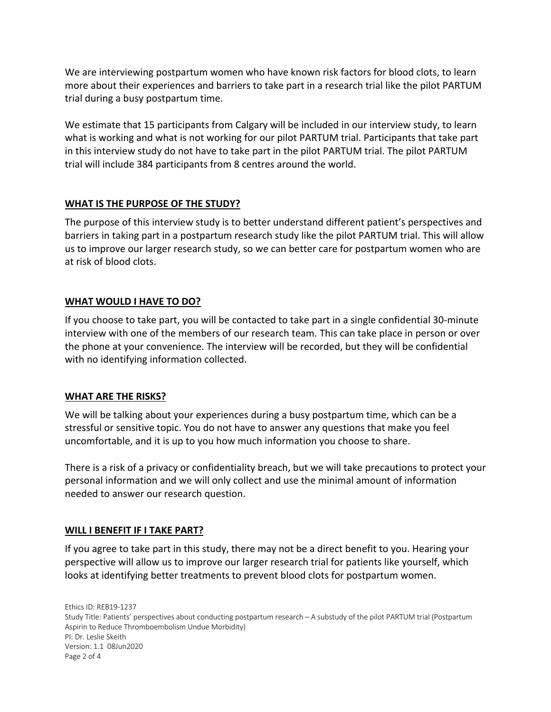We are interviewing postpartum women who have known risk factors for blood clots, to learn more about their experiences and barriers to take part in a research trial like the pilot PARTUM trial during a busy postpartum time.

We estimate that 15 participants from Calgary will be included in our interview study, to learn what is working and what is not working for our pilot PARTUM trial. Participants that take part in this interview study do not have to take part in the pilot PARTUM trial. The pilot PARTUM trial will include 384 participants from 8 centres around the world.

#### **WHAT IS THE PURPOSE OF THE STUDY?**

The purpose of this interview study is to better understand different patient's perspectives and barriers in taking part in a postpartum research study like the pilot PARTUM trial. This will allow us to improve our larger research study, so we can better care for postpartum women who are at risk of blood clots.

#### **WHAT WOULD I HAVE TO DO?**

If you choose to take part, you will be contacted to take part in a single confidential 30-minute interview with one of the members of our research team. This can take place in person or over the phone at your convenience. The interview will be recorded, but they will be confidential with no identifying information collected.

#### **WHAT ARE THE RISKS?**

We will be talking about your experiences during a busy postpartum time, which can be a stressful or sensitive topic. You do not have to answer any questions that make you feel uncomfortable, and it is up to you how much information you choose to share.

There is a risk of a privacy or confidentiality breach, but we will take precautions to protect your personal information and we will only collect and use the minimal amount of information needed to answer our research question.

#### **WILL I BENEFIT IF I TAKE PART?**

If you agree to take part in this study, there may not be a direct benefit to you. Hearing your perspective will allow us to improve our larger research trial for patients like yourself, which looks at identifying better treatments to prevent blood clots for postpartum women.

Ethics ID: REB19-1237 Study Title: Patients' perspectives about conducting postpartum research – A substudy of the pilot PARTUM trial (Postpartum Aspirin to Reduce Thromboembolism Undue Morbidity) PI: Dr. Leslie Skeith Version: 1.1 08Jun2020 Page 2 of 4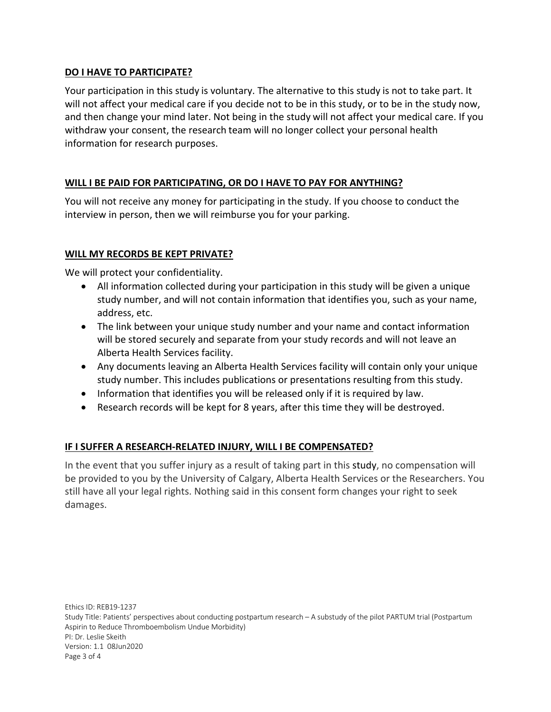#### **DO I HAVE TO PARTICIPATE?**

Your participation in this study is voluntary. The alternative to this study is not to take part. It will not affect your medical care if you decide not to be in this study, or to be in the study now, and then change your mind later. Not being in the study will not affect your medical care. If you withdraw your consent, the research team will no longer collect your personal health information for research purposes.

#### **WILL I BE PAID FOR PARTICIPATING, OR DO I HAVE TO PAY FOR ANYTHING?**

You will not receive any money for participating in the study. If you choose to conduct the interview in person, then we will reimburse you for your parking.

#### **WILL MY RECORDS BE KEPT PRIVATE?**

We will protect your confidentiality.

- All information collected during your participation in this study will be given a unique study number, and will not contain information that identifies you, such as your name, address, etc.
- The link between your unique study number and your name and contact information will be stored securely and separate from your study records and will not leave an Alberta Health Services facility.
- Any documents leaving an Alberta Health Services facility will contain only your unique study number. This includes publications or presentations resulting from this study.
- Information that identifies you will be released only if it is required by law.
- Research records will be kept for 8 years, after this time they will be destroyed.

#### **IF I SUFFER A RESEARCH-RELATED INJURY, WILL I BE COMPENSATED?**

In the event that you suffer injury as a result of taking part in this study, no compensation will be provided to you by the University of Calgary, Alberta Health Services or the Researchers. You still have all your legal rights. Nothing said in this consent form changes your right to seek damages.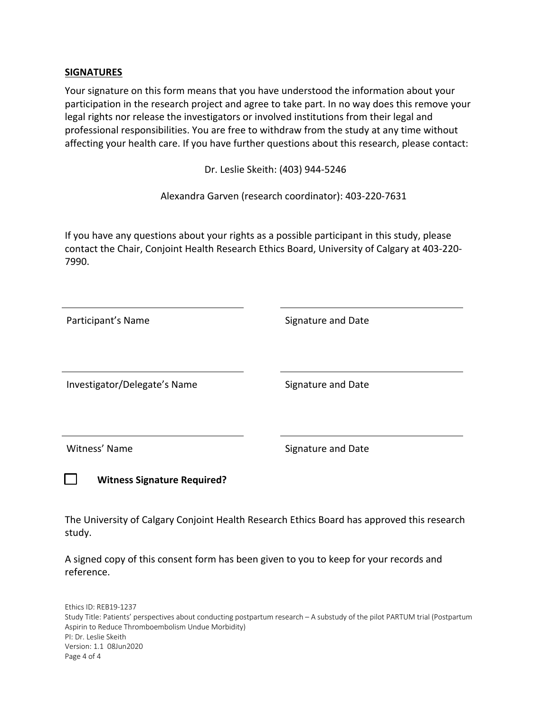#### **SIGNATURES**

Your signature on this form means that you have understood the information about your participation in the research project and agree to take part. In no way does this remove your legal rights nor release the investigators or involved institutions from their legal and professional responsibilities. You are free to withdraw from the study at any time without affecting your health care. If you have further questions about this research, please contact:

Dr. Leslie Skeith: (403) 944-5246

Alexandra Garven (research coordinator): 403-220-7631

If you have any questions about your rights as a possible participant in this study, please contact the Chair, Conjoint Health Research Ethics Board, University of Calgary at 403-220- 7990.

| Participant's Name                 | Signature and Date |
|------------------------------------|--------------------|
|                                    |                    |
| Investigator/Delegate's Name       | Signature and Date |
|                                    |                    |
| Witness' Name                      | Signature and Date |
| <b>Witness Signature Required?</b> |                    |
|                                    |                    |

The University of Calgary Conjoint Health Research Ethics Board has approved this research study.

A signed copy of this consent form has been given to you to keep for your records and reference.

Ethics ID: REB19-1237 Study Title: Patients' perspectives about conducting postpartum research – A substudy of the pilot PARTUM trial (Postpartum Aspirin to Reduce Thromboembolism Undue Morbidity) PI: Dr. Leslie Skeith Version: 1.1 08Jun2020 Page 4 of 4